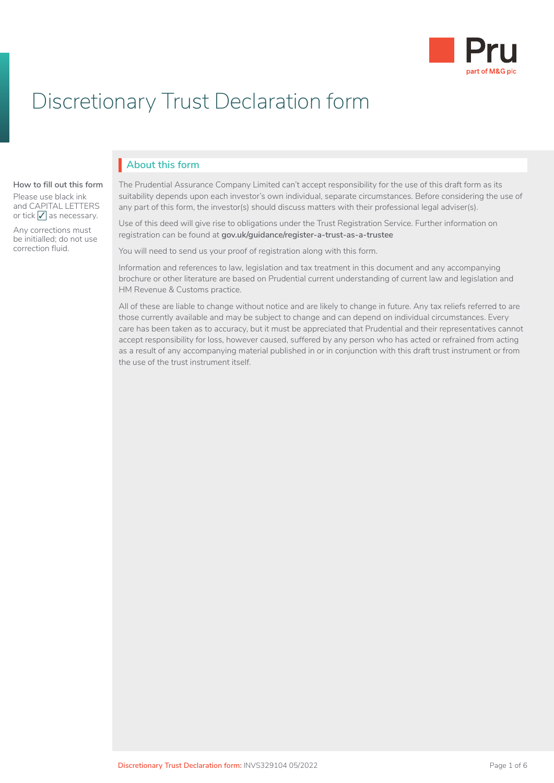

# Discretionary Trust Declaration form

# **About this form** I

#### **How to fill out this form**

Please use black ink and CAPITAL LETTERS or tick  $\sqrt{\ }$  as necessary.

Any corrections must be initialled; do not use correction fluid.

The Prudential Assurance Company Limited can't accept responsibility for the use of this draft form as its suitability depends upon each investor's own individual, separate circumstances. Before considering the use of any part of this form, the investor(s) should discuss matters with their professional legal adviser(s).

Use of this deed will give rise to obligations under the Trust Registration Service. Further information on registration can be found at **[gov.uk/guidance/register-a-trust-as-a-trustee](http://www.gov.uk/guidance/register-a-trust-as-a-trustee)** 

You will need to send us your proof of registration along with this form.

Information and references to law, legislation and tax treatment in this document and any accompanying brochure or other literature are based on Prudential current understanding of current law and legislation and HM Revenue & Customs practice.

All of these are liable to change without notice and are likely to change in future. Any tax reliefs referred to are those currently available and may be subject to change and can depend on individual circumstances. Every care has been taken as to accuracy, but it must be appreciated that Prudential and their representatives cannot accept responsibility for loss, however caused, suffered by any person who has acted or refrained from acting as a result of any accompanying material published in or in conjunction with this draft trust instrument or from the use of the trust instrument itself.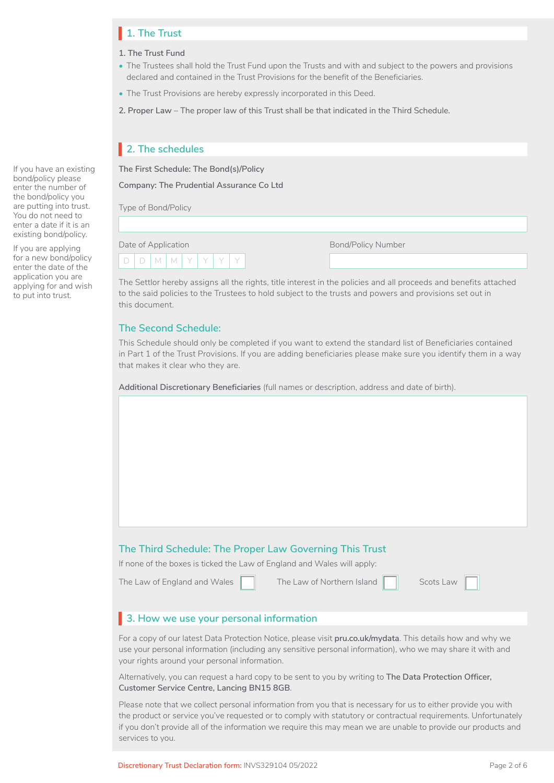# **1. The Trust** I

- **1. The Trust Fund**
- The Trustees shall hold the Trust Fund upon the Trusts and with and subject to the powers and provisions declared and contained in the Trust Provisions for the benefit of the Beneficiaries.
- The Trust Provisions are hereby expressly incorporated in this Deed.
- **2. Proper Law**  The proper law of this Trust shall be that indicated in the Third Schedule.

# **2. The schedules** I

**The First Schedule: The Bond(s)/Policy**

**Company: The Prudential Assurance Co Ltd**

Type of Bond/Policy

| Date of Application |           |  |  |  |
|---------------------|-----------|--|--|--|
|                     | DIMIMIYIY |  |  |  |

Bond/Policy Number

The Settlor hereby assigns all the rights, title interest in the policies and all proceeds and benefits attached to the said policies to the Trustees to hold subject to the trusts and powers and provisions set out in this document.

# **The Second Schedule:**

This Schedule should only be completed if you want to extend the standard list of Beneficiaries contained in Part 1 of the Trust Provisions. If you are adding beneficiaries please make sure you identify them in a way that makes it clear who they are.

**Additional Discretionary Beneficiaries** (full names or description, address and date of birth).

# **The Third Schedule: The Proper Law Governing This Trust**

If none of the boxes is ticked the Law of England and Wales will apply:

The Law of England and Wales

The Law of Northern Island

| Scots Law |  |  |
|-----------|--|--|
|           |  |  |

# **3. How we use your personal information** I

For a copy of our latest Data Protection Notice, please visit **[pru.co.uk/mydata](https://www.pru.co.uk/mydata)**. This details how and why we use your personal information (including any sensitive personal information), who we may share it with and your rights around your personal information.

Alternatively, you can request a hard copy to be sent to you by writing to **The Data Protection Officer, Customer Service Centre, Lancing BN15 8GB**.

Please note that we collect personal information from you that is necessary for us to either provide you with the product or service you've requested or to comply with statutory or contractual requirements. Unfortunately if you don't provide all of the information we require this may mean we are unable to provide our products and services to you.

If you have an existing bond/policy please enter the number of the bond/policy you are putting into trust. You do not need to enter a date if it is an existing bond/policy.

If you are applying for a new bond/policy enter the date of the application you are applying for and wish to put into trust.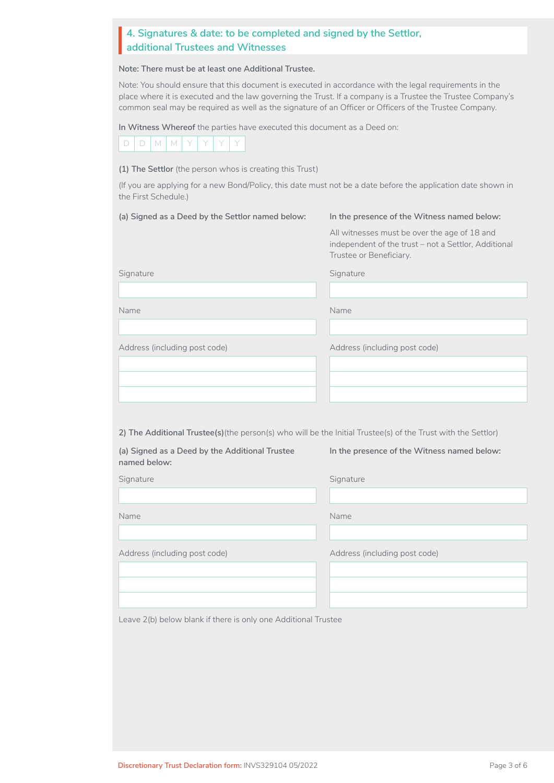# **4. Signatures & date: to be completed and signed by the Settlor,<br>| additional Trustees and Witnesses additional Trustees and Witnesses**

**Note: There must be at least one Additional Trustee.** 

Note: You should ensure that this document is executed in accordance with the legal requirements in the place where it is executed and the law governing the Trust. If a company is a Trustee the Trustee Company's common seal may be required as well as the signature of an Officer or Officers of the Trustee Company.

**In Witness Whereof** the parties have executed this document as a Deed on:



**(1) The Settlor** (the person whos is creating this Trust)

(If you are applying for a new Bond/Policy, this date must not be a date before the application date shown in the First Schedule.)

| (a) Signed as a Deed by the Settlor named below:                                                              | In the presence of the Witness named below:                                                                                     |  |  |
|---------------------------------------------------------------------------------------------------------------|---------------------------------------------------------------------------------------------------------------------------------|--|--|
|                                                                                                               | All witnesses must be over the age of 18 and<br>independent of the trust - not a Settlor, Additional<br>Trustee or Beneficiary. |  |  |
| Signature                                                                                                     | Signature                                                                                                                       |  |  |
|                                                                                                               |                                                                                                                                 |  |  |
| Name                                                                                                          | Name                                                                                                                            |  |  |
|                                                                                                               |                                                                                                                                 |  |  |
| Address (including post code)                                                                                 | Address (including post code)                                                                                                   |  |  |
|                                                                                                               |                                                                                                                                 |  |  |
|                                                                                                               |                                                                                                                                 |  |  |
|                                                                                                               |                                                                                                                                 |  |  |
|                                                                                                               |                                                                                                                                 |  |  |
| 2) The Additional Trustee(s) (the person(s) who will be the Initial Trustee(s) of the Trust with the Settlor) |                                                                                                                                 |  |  |
| (a) Signed as a Deed by the Additional Trustee<br>named below:                                                | In the presence of the Witness named below:                                                                                     |  |  |
| Signature                                                                                                     | Signature                                                                                                                       |  |  |
|                                                                                                               |                                                                                                                                 |  |  |
| Name                                                                                                          | Name                                                                                                                            |  |  |
|                                                                                                               |                                                                                                                                 |  |  |
| Address (including post code)                                                                                 | Address (including post code)                                                                                                   |  |  |
|                                                                                                               |                                                                                                                                 |  |  |
|                                                                                                               |                                                                                                                                 |  |  |
|                                                                                                               |                                                                                                                                 |  |  |
| Leave 2(b) below blank if there is only one Additional Trustee                                                |                                                                                                                                 |  |  |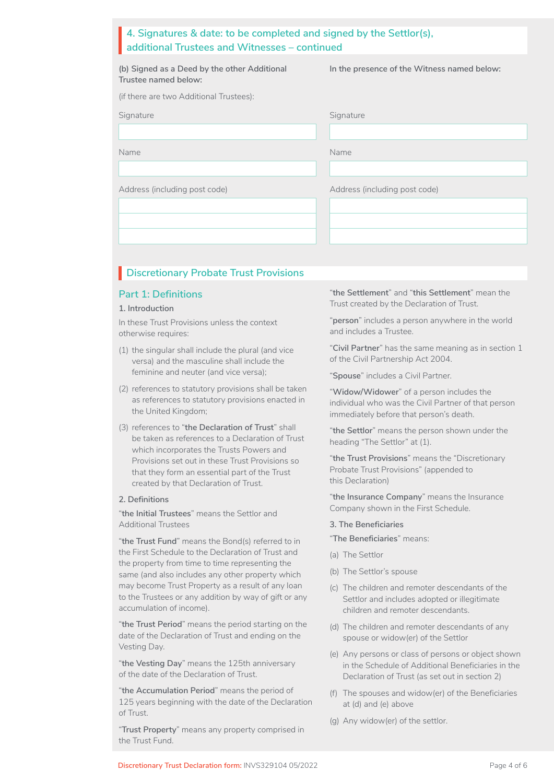| 4. Signatures & date: to be completed and signed by the Settlor(s), |
|---------------------------------------------------------------------|
| additional Trustees and Witnesses – continued                       |
|                                                                     |

|  |                      |  | (b) Signed as a Deed by the other Additional |  |
|--|----------------------|--|----------------------------------------------|--|
|  | Trustee named below: |  |                                              |  |

**In the presence of the Witness named below:**

| (if there are two Additional Trustees): |  |
|-----------------------------------------|--|
|-----------------------------------------|--|

| Signature |  |
|-----------|--|
|           |  |
|           |  |

| Signature                     | Signature                     |
|-------------------------------|-------------------------------|
|                               |                               |
| Name                          | Name                          |
|                               |                               |
| Address (including post code) | Address (including post code) |
|                               |                               |
|                               |                               |
|                               |                               |

# **Discretionary Probate Trust Provisions**

### **Part 1: Definitions**

### **1. Introduction**

In these Trust Provisions unless the context otherwise requires:

- (1) the singular shall include the plural (and vice versa) and the masculine shall include the feminine and neuter (and vice versa);
- (2) references to statutory provisions shall be taken as references to statutory provisions enacted in the United Kingdom;
- (3) references to "**the Declaration of Trust**" shall be taken as references to a Declaration of Trust which incorporates the Trusts Powers and Provisions set out in these Trust Provisions so that they form an essential part of the Trust created by that Declaration of Trust.

#### **2. Definitions**

"**the Initial Trustees**" means the Settlor and Additional Trustees

"**the Trust Fund**" means the Bond(s) referred to in the First Schedule to the Declaration of Trust and the property from time to time representing the same (and also includes any other property which may become Trust Property as a result of any loan to the Trustees or any addition by way of gift or any accumulation of income).

"**the Trust Period**" means the period starting on the date of the Declaration of Trust and ending on the Vesting Day.

"**the Vesting Day**" means the 125th anniversary of the date of the Declaration of Trust.

"**the Accumulation Period**" means the period of 125 years beginning with the date of the Declaration of Trust.

"**Trust Property**" means any property comprised in the Trust Fund.

"**the Settlement**" and "**this Settlement**" mean the Trust created by the Declaration of Trust.

"**person**" includes a person anywhere in the world and includes a Trustee.

"**Civil Partner**" has the same meaning as in section 1 of the Civil Partnership Act 2004.

"**Spouse**" includes a Civil Partner.

"**Widow/Widower**" of a person includes the individual who was the Civil Partner of that person immediately before that person's death.

"**the Settlor**" means the person shown under the heading "The Settlor" at (1).

"**the Trust Provisions**" means the "Discretionary Probate Trust Provisions" (appended to this Declaration)

"**the Insurance Company**" means the Insurance Company shown in the First Schedule.

#### **3. The Beneficiaries**

"**The Beneficiaries**" means:

- (a) The Settlor
- (b) The Settlor's spouse
- (c) The children and remoter descendants of the Settlor and includes adopted or illegitimate children and remoter descendants.
- (d) The children and remoter descendants of any spouse or widow(er) of the Settlor
- (e) Any persons or class of persons or object shown in the Schedule of Additional Beneficiaries in the Declaration of Trust (as set out in section 2)
- (f) The spouses and widow(er) of the Beneficiaries at (d) and (e) above
- (g) Any widow(er) of the settlor.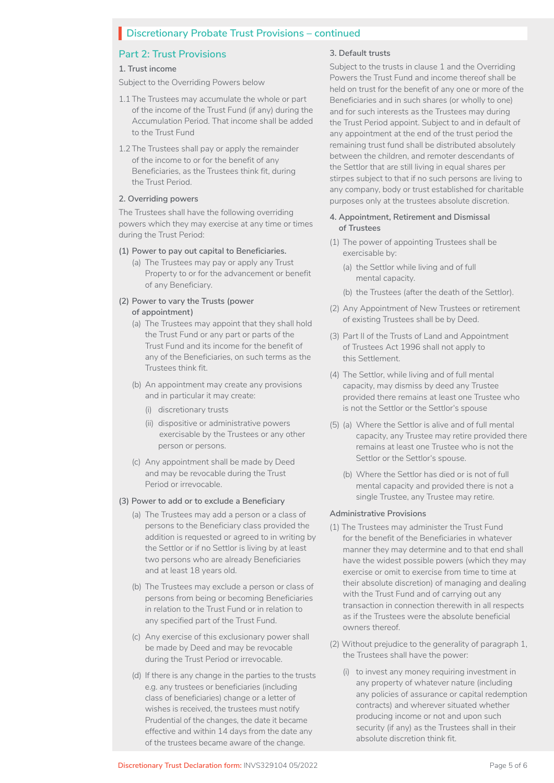# **Discretionary Probate Trust Provisions – continued**

# **Part 2: Trust Provisions**

#### **1. Trust income**

Subject to the Overriding Powers below

- 1.1 The Trustees may accumulate the whole or part of the income of the Trust Fund (if any) during the Accumulation Period. That income shall be added to the Trust Fund
- 1.2 The Trustees shall pay or apply the remainder of the income to or for the benefit of any Beneficiaries, as the Trustees think fit, during the Trust Period.

### **2. Overriding powers**

The Trustees shall have the following overriding powers which they may exercise at any time or times during the Trust Period:

### **(1) Power to pay out capital to Beneficiaries.**

(a) The Trustees may pay or apply any Trust Property to or for the advancement or benefit of any Beneficiary.

### **(2) Power to vary the Trusts (power of appointment)**

- (a) The Trustees may appoint that they shall hold the Trust Fund or any part or parts of the Trust Fund and its income for the benefit of any of the Beneficiaries, on such terms as the Trustees think fit.
- (b) An appointment may create any provisions and in particular it may create:
	- (i) discretionary trusts
	- (ii) dispositive or administrative powers exercisable by the Trustees or any other person or persons.
- (c) Any appointment shall be made by Deed and may be revocable during the Trust Period or irrevocable.

#### **(3) Power to add or to exclude a Beneficiary**

- (a) The Trustees may add a person or a class of persons to the Beneficiary class provided the addition is requested or agreed to in writing by the Settlor or if no Settlor is living by at least two persons who are already Beneficiaries and at least 18 years old.
- (b) The Trustees may exclude a person or class of persons from being or becoming Beneficiaries in relation to the Trust Fund or in relation to any specified part of the Trust Fund.
- (c) Any exercise of this exclusionary power shall be made by Deed and may be revocable during the Trust Period or irrevocable.
- (d) If there is any change in the parties to the trusts e.g. any trustees or beneficiaries (including class of beneficiaries) change or a letter of wishes is received, the trustees must notify Prudential of the changes, the date it became effective and within 14 days from the date any of the trustees became aware of the change.

### **3. Default trusts**

Subject to the trusts in clause 1 and the Overriding Powers the Trust Fund and income thereof shall be held on trust for the benefit of any one or more of the Beneficiaries and in such shares (or wholly to one) and for such interests as the Trustees may during the Trust Period appoint. Subject to and in default of any appointment at the end of the trust period the remaining trust fund shall be distributed absolutely between the children, and remoter descendants of the Settlor that are still living in equal shares per stirpes subject to that if no such persons are living to any company, body or trust established for charitable purposes only at the trustees absolute discretion.

### **4. Appointment, Retirement and Dismissal of Trustees**

- (1) The power of appointing Trustees shall be exercisable by:
	- (a) the Settlor while living and of full mental capacity.
	- (b) the Trustees (after the death of the Settlor).
- (2) Any Appointment of New Trustees or retirement of existing Trustees shall be by Deed.
- (3) Part II of the Trusts of Land and Appointment of Trustees Act 1996 shall not apply to this Settlement.
- (4) The Settlor, while living and of full mental capacity, may dismiss by deed any Trustee provided there remains at least one Trustee who is not the Settlor or the Settlor's spouse
- (5) (a) Where the Settlor is alive and of full mental capacity, any Trustee may retire provided there remains at least one Trustee who is not the Settlor or the Settlor's spouse.
	- (b) Where the Settlor has died or is not of full mental capacity and provided there is not a single Trustee, any Trustee may retire.

#### **Administrative Provisions**

- (1) The Trustees may administer the Trust Fund for the benefit of the Beneficiaries in whatever manner they may determine and to that end shall have the widest possible powers (which they may exercise or omit to exercise from time to time at their absolute discretion) of managing and dealing with the Trust Fund and of carrying out any transaction in connection therewith in all respects as if the Trustees were the absolute beneficial owners thereof.
- (2) Without prejudice to the generality of paragraph 1, the Trustees shall have the power:
	- (i) to invest any money requiring investment in any property of whatever nature (including any policies of assurance or capital redemption contracts) and wherever situated whether producing income or not and upon such security (if any) as the Trustees shall in their absolute discretion think fit.